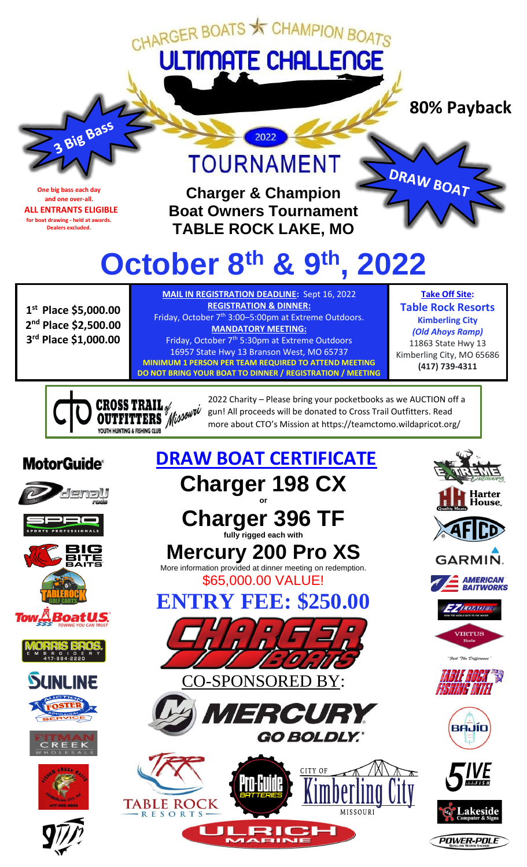## CHARGER BOATS \* CHAMPION BOATS **ULTIMATE CHALLENGE**

**One big bass each day and one over-all. ALL ENTRANTS ELIGIBLE**

3 Big Bass

**for boat drawing - held at awards. Dealers excluded.**

### TOURNAMENT

2022

**Charger & Champion Boat Owners Tournament TABLE ROCK LAKE, MO**

**80% Payback**



# **October 8th & 9th, 2022**

**1 st Place \$5,000.00 2 nd Place \$2,500.00 3 rd Place \$1,000.00**

**MAIL IN REGISTRATION DEADLINE:** Sept 16, 2022 **REGISTRATION & DINNER:** Friday, October 7<sup>th</sup> 3:00-5:00pm at Extreme Outdoors. **MANDATORY MEETING:** Friday, October 7<sup>th</sup> 5:30pm at Extreme Outdoors 16957 State Hwy 13 Branson West, MO 65737 **MINIMUM 1 PERSON PER TEAM REQUIRED TO ATTEND MEETING DO NOT BRING YOUR BOAT TO DINNER / REGISTRATION / MEETING**

**Take Off Site: Table Rock Resorts Kimberling City** *(Old Ahoys Ramp)* 11863 State Hwy 13 Kimberling City, MO 65686 **[\(417\) 739-4311](https://www.google.com/search?q=table+rock+resorts+at+kimbelring&rlz=1C1VDKB_enUS973US973&oq=table+rock+resorts+at+kimbelring&aqs=chrome..69i57j46i175i199i512j0i22i30l2.7968j0j4&sourceid=chrome&ie=UTF-8)**



2022 Charity – Please bring your pocketbooks as we AUCTION off a gun! All proceeds will be donated to Cross Trail Outfitters. Read more about CTO's Mission at https://teamctomo.wildapricot.org/